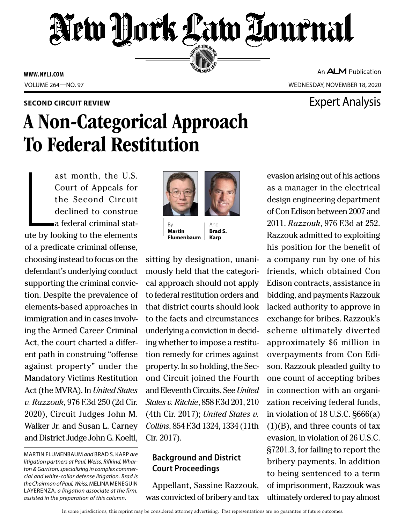# New York Law Tournal SERVING THE BEN

**ED BAR SINCE 188** 

**WWW. NYLJ.COM**

An **ALM** Publication

VOLUME 264—NO. 97 WEDNESDAY, NOVEMBER 18, 2020

### **SECOND CIRCUIT REVIEW EXPERIENCE AND LOCAL EXPETITION CIRCUIT REVIEW**

## A Non-Categorical Approach To Federal Restitution

ast month, the U.S.<br>Court of Appeals for<br>the Second Circuit<br>declined to construe<br>a federal criminal stat-<br>ute by looking to the elements ast month, the U.S. Court of Appeals for the Second Circuit declined to construe a federal criminal statof a predicate criminal offense, choosing instead to focus on the defendant's underlying conduct supporting the criminal conviction. Despite the prevalence of elements-based approaches in immigration and in cases involving the Armed Career Criminal Act, the court charted a different path in construing "offense against property" under the Mandatory Victims Restitution Act (the MVRA). In *United States v. Razzouk*, 976 F.3d 250 (2d Cir. 2020), Circuit Judges John M. Walker Jr. and Susan L. Carney and District Judge John G. Koeltl,

MARTIN FLUMENBAUM *and* BRAD S. KARP *are litigation partners at Paul, Weiss, Rifkind, Wharton & Garrison, specializing in complex commercial and white-collar defense litigation. Brad is the Chairman of Paul, Weiss.* MELINA MENEGUIN LAYERENZA*, a litigation associate at the firm, assisted in the preparation of this column.*



**Martin Flumenbaum Karp**

And **Brad S.** 

sitting by designation, unanimously held that the categorical approach should not apply to federal restitution orders and that district courts should look to the facts and circumstances underlying a conviction in deciding whether to impose a restitution remedy for crimes against property. In so holding, the Second Circuit joined the Fourth and Eleventh Circuits. See *United States v. Ritchie*, 858 F.3d 201, 210 (4th Cir. 2017); *United States v. Collins*, 854 F.3d 1324, 1334 (11th Cir. 2017).

#### **Background and District Court Proceedings**

Appellant, Sassine Razzouk, was convicted of bribery and tax

evasion arising out of his actions as a manager in the electrical design engineering department of Con Edison between 2007 and 2011. *Razzouk*, 976 F.3d at 252. Razzouk admitted to exploiting his position for the benefit of a company run by one of his friends, which obtained Con Edison contracts, assistance in bidding, and payments Razzouk lacked authority to approve in exchange for bribes. Razzouk's scheme ultimately diverted approximately \$6 million in overpayments from Con Edison. Razzouk pleaded guilty to one count of accepting bribes in connection with an organization receiving federal funds, in violation of 18 U.S.C. §666(a) (1)(B), and three counts of tax evasion, in violation of 26 U.S.C. §7201.3, for failing to report the bribery payments. In addition to being sentenced to a term of imprisonment, Razzouk was ultimately ordered to pay almost

In some jurisdictions, this reprint may be considered attorney advertising. Past representations are no guarantee of future outcomes.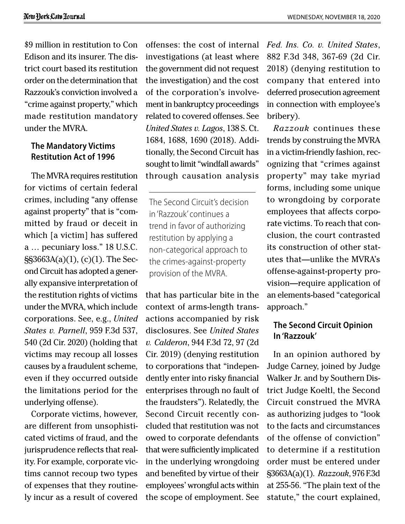\$9 million in restitution to Con Edison and its insurer. The district court based its restitution order on the determination that Razzouk's conviction involved a "crime against property," which made restitution mandatory under the MVRA.

#### **The Mandatory Victims Restitution Act of 1996**

The MVRA requires restitution for victims of certain federal crimes, including "any offense against property" that is "committed by fraud or deceit in which [a victim] has suffered a … pecuniary loss." 18 U.S.C. §§3663A(a)(1), (c)(1). The Second Circuit has adopted a generally expansive interpretation of the restitution rights of victims under the MVRA, which include corporations. See, e.g., *United States v. Parnell*, 959 F.3d 537, 540 (2d Cir. 2020) (holding that victims may recoup all losses causes by a fraudulent scheme, even if they occurred outside the limitations period for the underlying offense).

Corporate victims, however, are different from unsophisticated victims of fraud, and the jurisprudence reflects that reality. For example, corporate victims cannot recoup two types of expenses that they routinely incur as a result of covered

offenses: the cost of internal investigations (at least where the government did not request the investigation) and the cost of the corporation's involvement in bankruptcy proceedings related to covered offenses. See *United States v. Lagos*, 138 S. Ct. 1684, 1688, 1690 (2018). Additionally, the Second Circuit has sought to limit "windfall awards" through causation analysis

The Second Circuit's decision in 'Razzouk' continues a trend in favor of authorizing restitution by applying a non-categorical approach to the crimes-against-property provision of the MVRA.

that has particular bite in the context of arms-length transactions accompanied by risk disclosures. See *United States v. Calderon*, 944 F.3d 72, 97 (2d Cir. 2019) (denying restitution to corporations that "independently enter into risky financial enterprises through no fault of the fraudsters"). Relatedly, the Second Circuit recently concluded that restitution was not owed to corporate defendants that were sufficiently implicated in the underlying wrongdoing and benefited by virtue of their employees' wrongful acts within the scope of employment. See *Fed. Ins. Co. v. United States*, 882 F.3d 348, 367-69 (2d Cir. 2018) (denying restitution to company that entered into deferred prosecution agreement in connection with employee's bribery).

*Razzouk* continues these trends by construing the MVRA in a victim-friendly fashion, recognizing that "crimes against property" may take myriad forms, including some unique to wrongdoing by corporate employees that affects corporate victims. To reach that conclusion, the court contrasted its construction of other statutes that—unlike the MVRA's offense-against-property provision—require application of an elements-based "categorical approach."

#### **The Second Circuit Opinion In 'Razzouk'**

In an opinion authored by Judge Carney, joined by Judge Walker Jr. and by Southern District Judge Koeltl, the Second Circuit construed the MVRA as authorizing judges to "look to the facts and circumstances of the offense of conviction" to determine if a restitution order must be entered under §3663A(a)(1). *Razzouk*, 976 F.3d at 255-56. "The plain text of the statute," the court explained,